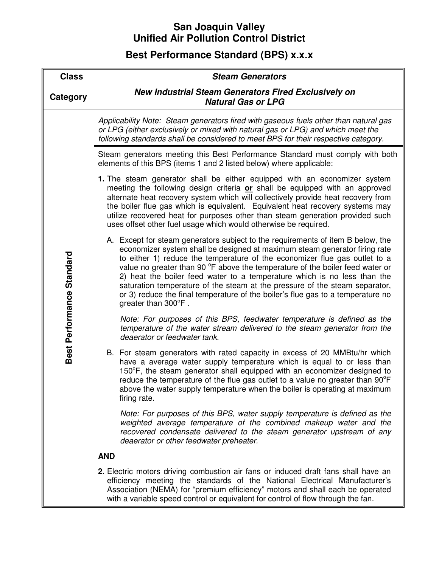## **San Joaquin Valley Unified Air Pollution Control District**

## **Best Performance Standard (BPS) x.x.x**

| <b>Class</b>              | <b>Steam Generators</b>                                                                                                                                                                                                                                                                                                                                                                                                                                                                                                                                                                           |
|---------------------------|---------------------------------------------------------------------------------------------------------------------------------------------------------------------------------------------------------------------------------------------------------------------------------------------------------------------------------------------------------------------------------------------------------------------------------------------------------------------------------------------------------------------------------------------------------------------------------------------------|
| Category                  | <b>New Industrial Steam Generators Fired Exclusively on</b><br><b>Natural Gas or LPG</b>                                                                                                                                                                                                                                                                                                                                                                                                                                                                                                          |
| Best Performance Standard | Applicability Note: Steam generators fired with gaseous fuels other than natural gas<br>or LPG (either exclusively or mixed with natural gas or LPG) and which meet the<br>following standards shall be considered to meet BPS for their respective category.                                                                                                                                                                                                                                                                                                                                     |
|                           | Steam generators meeting this Best Performance Standard must comply with both<br>elements of this BPS (items 1 and 2 listed below) where applicable:                                                                                                                                                                                                                                                                                                                                                                                                                                              |
|                           | 1. The steam generator shall be either equipped with an economizer system<br>meeting the following design criteria or shall be equipped with an approved<br>alternate heat recovery system which will collectively provide heat recovery from<br>the boiler flue gas which is equivalent. Equivalent heat recovery systems may<br>utilize recovered heat for purposes other than steam generation provided such<br>uses offset other fuel usage which would otherwise be required.                                                                                                                |
|                           | A. Except for steam generators subject to the requirements of item B below, the<br>economizer system shall be designed at maximum steam generator firing rate<br>to either 1) reduce the temperature of the economizer flue gas outlet to a<br>value no greater than 90 °F above the temperature of the boiler feed water or<br>2) heat the boiler feed water to a temperature which is no less than the<br>saturation temperature of the steam at the pressure of the steam separator,<br>or 3) reduce the final temperature of the boiler's flue gas to a temperature no<br>greater than 300°F. |
|                           | Note: For purposes of this BPS, feedwater temperature is defined as the<br>temperature of the water stream delivered to the steam generator from the<br>deaerator or feedwater tank.                                                                                                                                                                                                                                                                                                                                                                                                              |
|                           | B. For steam generators with rated capacity in excess of 20 MMBtu/hr which<br>have a average water supply temperature which is equal to or less than<br>150°F, the steam generator shall equipped with an economizer designed to<br>reduce the temperature of the flue gas outlet to a value no greater than 90°F<br>above the water supply temperature when the boiler is operating at maximum<br>firing rate.                                                                                                                                                                                   |
|                           | Note: For purposes of this BPS, water supply temperature is defined as the<br>weighted average temperature of the combined makeup water and the<br>recovered condensate delivered to the steam generator upstream of any<br>deaerator or other feedwater preheater.                                                                                                                                                                                                                                                                                                                               |
|                           | <b>AND</b>                                                                                                                                                                                                                                                                                                                                                                                                                                                                                                                                                                                        |
|                           | <b>2.</b> Electric motors driving combustion air fans or induced draft fans shall have an<br>efficiency meeting the standards of the National Electrical Manufacturer's<br>Association (NEMA) for "premium efficiency" motors and shall each be operated<br>with a variable speed control or equivalent for control of flow through the fan.                                                                                                                                                                                                                                                      |